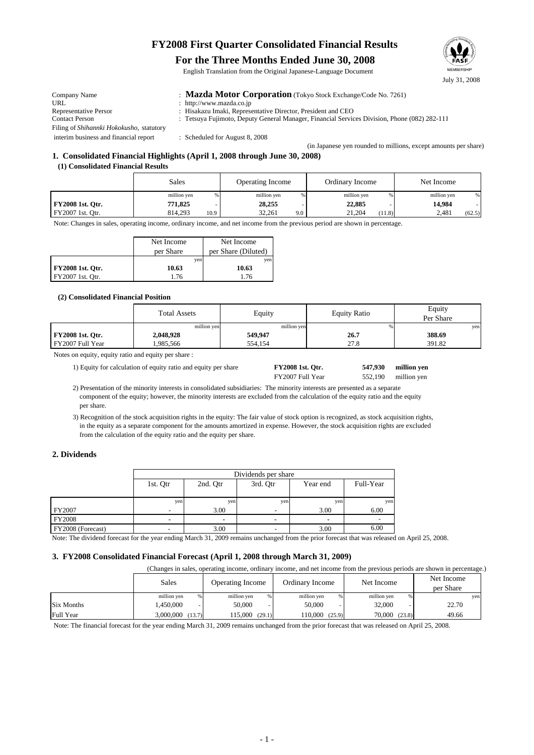# **FY2008 First Quarter Consolidated Financial Results**

#### **For the Three Months Ended June 30, 2008**

English Translation from the Original Japanese-Language Document

| Company Name                                     | : Mazda Motor Corporation (Tokyo Stock Exchange/Code No. 7261)                               |
|--------------------------------------------------|----------------------------------------------------------------------------------------------|
| URL                                              | : http://www.mazda.co.jp                                                                     |
| <b>Representative Persor</b>                     | : Hisakazu Imaki, Representative Director, President and CEO                                 |
| <b>Contact Person</b>                            | : Tetsuya Fujimoto, Deputy General Manager, Financial Services Division, Phone (082) 282-111 |
| Filing of <i>Shihannki Hokokusho</i> , statutory |                                                                                              |
| interim business and financial report            | : Scheduled for August 8, 2008                                                               |
|                                                  | (in Japanese ven rounded to millions, except amounts per share)                              |

## **1. Consolidated Financial Highlights (April 1, 2008 through June 30, 2008)**

#### **(1) Consolidated Financial Results**

|                         | <b>Sales</b>    | <b>Operating Income</b> | Ordinary Income  | Net Income       |
|-------------------------|-----------------|-------------------------|------------------|------------------|
|                         | million yen     | million yen             | million yen      | million yen<br>% |
| <b>FY2008 1st. Otr.</b> | 771,825         | 28,255                  | 22,885           | 14.984           |
| FY2007 1st. Otr.        | 814.293<br>10.9 | 32.261<br>9.0           | 21.204<br>(11.8) | 2.481<br>(62.5)  |

Note: Changes in sales, operating income, ordinary income, and net income from the previous period are shown in percentage.

|                         | Net Income | Net Income          |  |
|-------------------------|------------|---------------------|--|
|                         | per Share  | per Share (Diluted) |  |
|                         | ven        | ven                 |  |
| <b>FY2008 1st. Otr.</b> | 10.63      | 10.63               |  |
| FY2007 1st. Qtr.        | 1 76       | 1 76                |  |

#### **(2) Consolidated Financial Position**

|                         | <b>Total Assets</b> | Equity      | <b>Equity Ratio</b> | Equity<br>Per Share |
|-------------------------|---------------------|-------------|---------------------|---------------------|
|                         | million yen         | million yen |                     | yen                 |
| <b>FY2008 1st. Qtr.</b> | 2,048,928           | 549,947     | 26.7                | 388.69              |
| FY2007 Full Year        | .985.566            | 554.154     | 27.8                | 391.82              |

Notes on equity, equity ratio and equity per share :

1) Equity for calculation of equity ratio and equity per share **FY2008 1st. Qtr.** 547,930 million yen

FY2007 Full Year 552,190 million yen

552,190 **547,930**

July 31, 2008

 2) Presentation of the minority interests in consolidated subsidiaries: The minority interests are presented as a separate component of the equity; however, the minority interests are excluded from the calculation of the equity ratio and the equity per share.

 3) Recognition of the stock acquisition rights in the equity: The fair value of stock option is recognized, as stock acquisition rights, in the equity as a separate component for the amounts amortized in expense. However, the stock acquisition rights are excluded from the calculation of the equity ratio and the equity per share.

#### **2. Dividends**

|                   | Dividends per share |          |          |          |           |  |
|-------------------|---------------------|----------|----------|----------|-----------|--|
|                   | 1st. Otr            | 2nd. Otr | 3rd. Otr | Year end | Full-Year |  |
|                   |                     |          |          |          |           |  |
|                   | yen                 | yen      | yen      | yen      | yen       |  |
| FY2007            |                     | 3.00     |          | 3.00     | 6.00      |  |
| <b>FY2008</b>     |                     |          |          |          |           |  |
| FY2008 (Forecast) |                     | 3.00     |          | 3.00     | 6.00      |  |

Note: The dividend forecast for the year ending March 31, 2009 remains unchanged from the prior forecast that was released on April 25, 2008.

#### **3. FY2008 Consolidated Financial Forecast (April 1, 2008 through March 31, 2009)**

(Changes in sales, operating income, ordinary income, and net income from the previous periods are shown in percentage.)

|                   | Sales               | <b>Operating Income</b> | Ordinary Income  | Net Income       | Net Income<br>per Share |
|-------------------|---------------------|-------------------------|------------------|------------------|-------------------------|
|                   | million yen         | million yen<br>%        | million yen<br>% | million yen      | ven                     |
| <b>Six Months</b> | ,450,000            | 50,000                  | 50,000           | 32,000           | 22.70                   |
| Full Year         | 3,000,000<br>(13.7) | 115.000<br>(29.1)       | 10,000<br>(25.9) | 70,000<br>(23.8) | 49.66                   |

Note: The financial forecast for the year ending March 31, 2009 remains unchanged from the prior forecast that was released on April 25, 2008.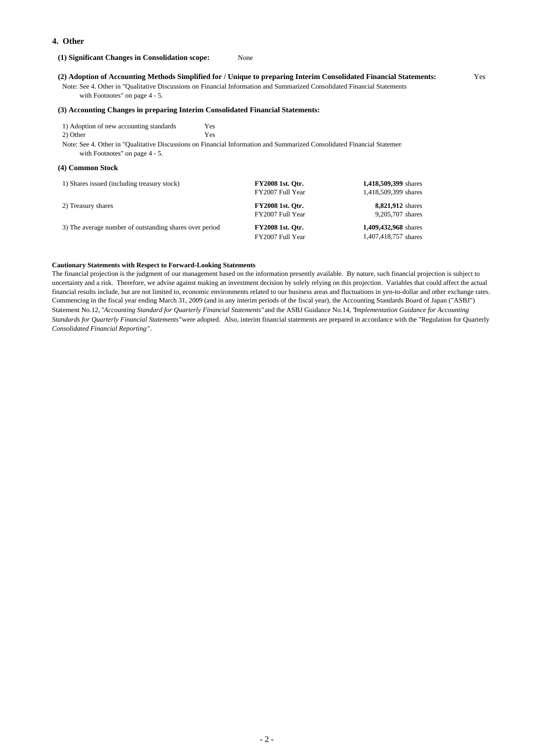#### **4. Other**

#### **(1) Significant Changes in Consolidation scope:** None

#### **(2) Adoption of Accounting Methods Simplified for / Unique to preparing Interim Consolidated Financial Statements:** Yes

Note: See 4. Other in "Qualitative Discussions on Financial Information and Summarized Consolidated Financial Statements

with Footnotes" on page 4 - 5.

#### **(3) Accounting Changes in preparing Interim Consolidated Financial Statements:**

 1) Adoption of new accounting standards Yes 2) Other Yes

 Note: See 4. Other in "Qualitative Discussions on Financial Information and Summarized Consolidated Financial Statemen with Footnotes" on page 4 - 5.

#### **(4) Common Stock**

| 1) Shares issued (including treasury stock)             | <b>FY2008 1st. Otr.</b><br>FY2007 Full Year | 1,418,509,399 shares<br>1,418,509,399 shares |
|---------------------------------------------------------|---------------------------------------------|----------------------------------------------|
| 2) Treasury shares                                      | <b>FY2008 1st. Otr.</b><br>FY2007 Full Year | <b>8,821,912</b> shares<br>9,205,707 shares  |
| 3) The average number of outstanding shares over period | <b>FY2008 1st. Otr.</b><br>FY2007 Full Year | 1,409,432,968 shares<br>1,407,418,757 shares |

#### **Cautionary Statements with Respect to Forward-Looking Statements**

The financial projection is the judgment of our management based on the information presently available. By nature, such financial projection is subject to uncertainty and a risk. Therefore, we advise against making an investment decision by solely relying on this projection. Variables that could affect the actual financial results include, but are not limited to, economic environments related to our business areas and fluctuations in yen-to-dollar and other exchange rates. Commencing in the fiscal year ending March 31, 2009 (and in any interim periods of the fiscal year), the Accounting Standards Board of Japan ("ASBJ") Statement No.12, *"Accounting Standard for Quarterly Financial Statements"*and the ASBJ Guidance No.14, "*Implementation Guidance for Accounting Standards for Quarterly Financial Statements"*were adopted. Also, interim financial statements are prepared in accordance with the "Regulation for Quarterly *Consolidated Financial Reporting*".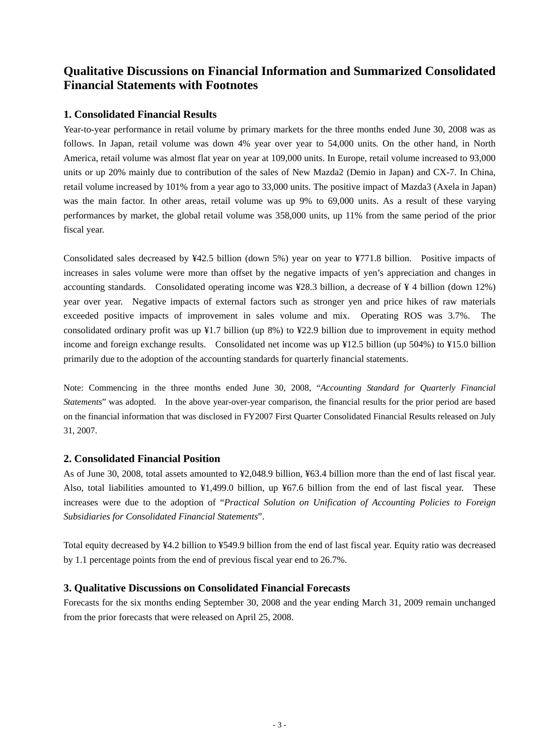# **Qualitative Discussions on Financial Information and Summarized Consolidated Financial Statements with Footnotes**

## **1. Consolidated Financial Results**

Year-to-year performance in retail volume by primary markets for the three months ended June 30, 2008 was as follows. In Japan, retail volume was down 4% year over year to 54,000 units. On the other hand, in North America, retail volume was almost flat year on year at 109,000 units. In Europe, retail volume increased to 93,000 units or up 20% mainly due to contribution of the sales of New Mazda2 (Demio in Japan) and CX-7. In China, retail volume increased by 101% from a year ago to 33,000 units. The positive impact of Mazda3 (Axela in Japan) was the main factor. In other areas, retail volume was up 9% to 69,000 units. As a result of these varying performances by market, the global retail volume was 358,000 units, up 11% from the same period of the prior fiscal year.

Consolidated sales decreased by ¥42.5 billion (down 5%) year on year to ¥771.8 billion. Positive impacts of increases in sales volume were more than offset by the negative impacts of yen's appreciation and changes in accounting standards. Consolidated operating income was ¥28.3 billion, a decrease of ¥ 4 billion (down 12%) year over year. Negative impacts of external factors such as stronger yen and price hikes of raw materials exceeded positive impacts of improvement in sales volume and mix. Operating ROS was 3.7%. The consolidated ordinary profit was up ¥1.7 billion (up 8%) to ¥22.9 billion due to improvement in equity method income and foreign exchange results. Consolidated net income was up ¥12.5 billion (up 504%) to ¥15.0 billion primarily due to the adoption of the accounting standards for quarterly financial statements.

Note: Commencing in the three months ended June 30, 2008, "*Accounting Standard for Quarterly Financial Statements*" was adopted. In the above year-over-year comparison, the financial results for the prior period are based on the financial information that was disclosed in FY2007 First Quarter Consolidated Financial Results released on July 31, 2007.

## **2. Consolidated Financial Position**

As of June 30, 2008, total assets amounted to ¥2,048.9 billion, ¥63.4 billion more than the end of last fiscal year. Also, total liabilities amounted to ¥1,499.0 billion, up ¥67.6 billion from the end of last fiscal year. These increases were due to the adoption of "*Practical Solution on Unification of Accounting Policies to Foreign Subsidiaries for Consolidated Financial Statements*".

Total equity decreased by ¥4.2 billion to ¥549.9 billion from the end of last fiscal year. Equity ratio was decreased by 1.1 percentage points from the end of previous fiscal year end to 26.7%.

## **3. Qualitative Discussions on Consolidated Financial Forecasts**

Forecasts for the six months ending September 30, 2008 and the year ending March 31, 2009 remain unchanged from the prior forecasts that were released on April 25, 2008.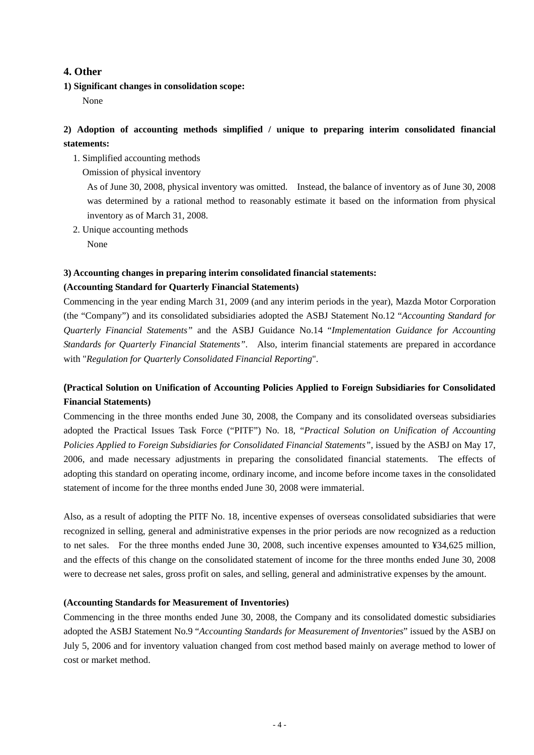## **4. Other**

**1) Significant changes in consolidation scope:** 

None

## **2) Adoption of accounting methods simplified / unique to preparing interim consolidated financial statements:**

- 1. Simplified accounting methods
	- Omission of physical inventory

 As of June 30, 2008, physical inventory was omitted. Instead, the balance of inventory as of June 30, 2008 was determined by a rational method to reasonably estimate it based on the information from physical inventory as of March 31, 2008.

2. Unique accounting methods

None

#### **3) Accounting changes in preparing interim consolidated financial statements:**

## **(Accounting Standard for Quarterly Financial Statements)**

Commencing in the year ending March 31, 2009 (and any interim periods in the year), Mazda Motor Corporation (the "Company") and its consolidated subsidiaries adopted the ASBJ Statement No.12 "*Accounting Standard for Quarterly Financial Statements"* and the ASBJ Guidance No.14 "*Implementation Guidance for Accounting Standards for Quarterly Financial Statements"*. Also, interim financial statements are prepared in accordance with "*Regulation for Quarterly Consolidated Financial Reporting*".

## **(Practical Solution on Unification of Accounting Policies Applied to Foreign Subsidiaries for Consolidated Financial Statements)**

Commencing in the three months ended June 30, 2008, the Company and its consolidated overseas subsidiaries adopted the Practical Issues Task Force ("PITF") No. 18, "*Practical Solution on Unification of Accounting Policies Applied to Foreign Subsidiaries for Consolidated Financial Statements",* issued by the ASBJ on May 17, 2006, and made necessary adjustments in preparing the consolidated financial statements. The effects of adopting this standard on operating income, ordinary income, and income before income taxes in the consolidated statement of income for the three months ended June 30, 2008 were immaterial.

Also, as a result of adopting the PITF No. 18, incentive expenses of overseas consolidated subsidiaries that were recognized in selling, general and administrative expenses in the prior periods are now recognized as a reduction to net sales. For the three months ended June 30, 2008, such incentive expenses amounted to ¥34,625 million, and the effects of this change on the consolidated statement of income for the three months ended June 30, 2008 were to decrease net sales, gross profit on sales, and selling, general and administrative expenses by the amount.

## **(Accounting Standards for Measurement of Inventories)**

Commencing in the three months ended June 30, 2008, the Company and its consolidated domestic subsidiaries adopted the ASBJ Statement No.9 "*Accounting Standards for Measurement of Inventories*" issued by the ASBJ on July 5, 2006 and for inventory valuation changed from cost method based mainly on average method to lower of cost or market method.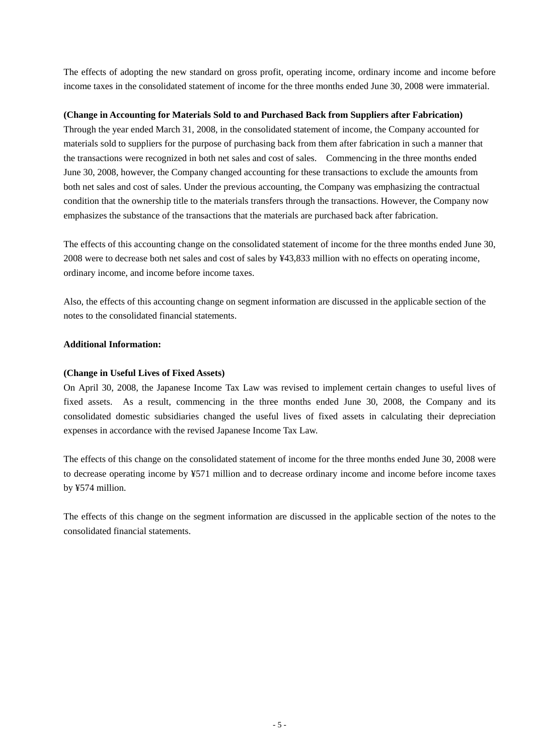The effects of adopting the new standard on gross profit, operating income, ordinary income and income before income taxes in the consolidated statement of income for the three months ended June 30, 2008 were immaterial.

## **(Change in Accounting for Materials Sold to and Purchased Back from Suppliers after Fabrication)**

Through the year ended March 31, 2008, in the consolidated statement of income, the Company accounted for materials sold to suppliers for the purpose of purchasing back from them after fabrication in such a manner that the transactions were recognized in both net sales and cost of sales. Commencing in the three months ended June 30, 2008, however, the Company changed accounting for these transactions to exclude the amounts from both net sales and cost of sales. Under the previous accounting, the Company was emphasizing the contractual condition that the ownership title to the materials transfers through the transactions. However, the Company now emphasizes the substance of the transactions that the materials are purchased back after fabrication.

The effects of this accounting change on the consolidated statement of income for the three months ended June 30, 2008 were to decrease both net sales and cost of sales by ¥43,833 million with no effects on operating income, ordinary income, and income before income taxes.

Also, the effects of this accounting change on segment information are discussed in the applicable section of the notes to the consolidated financial statements.

## **Additional Information:**

## **(Change in Useful Lives of Fixed Assets)**

On April 30, 2008, the Japanese Income Tax Law was revised to implement certain changes to useful lives of fixed assets. As a result, commencing in the three months ended June 30, 2008, the Company and its consolidated domestic subsidiaries changed the useful lives of fixed assets in calculating their depreciation expenses in accordance with the revised Japanese Income Tax Law.

The effects of this change on the consolidated statement of income for the three months ended June 30, 2008 were to decrease operating income by ¥571 million and to decrease ordinary income and income before income taxes by ¥574 million.

The effects of this change on the segment information are discussed in the applicable section of the notes to the consolidated financial statements.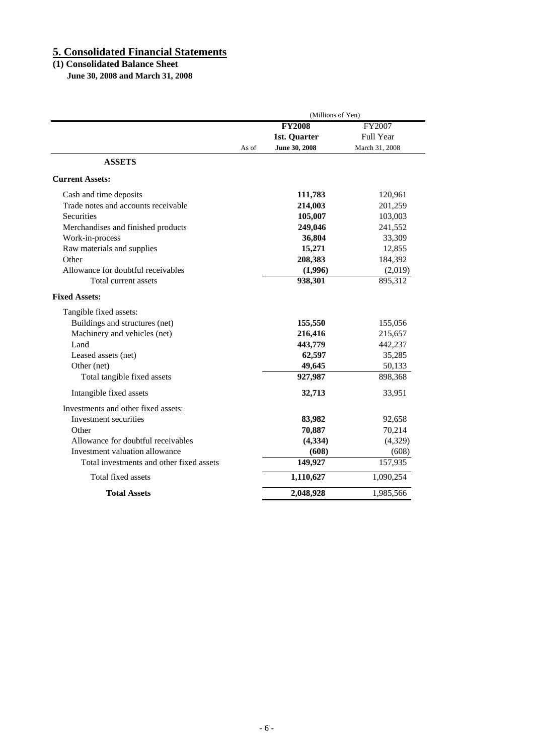## **5. Consolidated Financial Statements**

#### **(1) Consolidated Balance Sheet**

 **June 30, 2008 and March 31, 2008**

|                                          | (Millions of Yen)      |                  |  |
|------------------------------------------|------------------------|------------------|--|
|                                          | <b>FY2008</b>          | FY2007           |  |
|                                          | 1st. Quarter           | <b>Full Year</b> |  |
|                                          | June 30, 2008<br>As of | March 31, 2008   |  |
| <b>ASSETS</b>                            |                        |                  |  |
| <b>Current Assets:</b>                   |                        |                  |  |
| Cash and time deposits                   | 111,783                | 120,961          |  |
| Trade notes and accounts receivable      | 214,003                | 201,259          |  |
| Securities                               | 105,007                | 103,003          |  |
| Merchandises and finished products       | 249,046                | 241,552          |  |
| Work-in-process                          | 36,804                 | 33,309           |  |
| Raw materials and supplies               | 15,271                 | 12,855           |  |
| Other                                    | 208,383                | 184,392          |  |
| Allowance for doubtful receivables       | (1,996)                | (2,019)          |  |
| Total current assets                     | 938,301                | 895,312          |  |
| <b>Fixed Assets:</b>                     |                        |                  |  |
| Tangible fixed assets:                   |                        |                  |  |
| Buildings and structures (net)           | 155,550                | 155,056          |  |
| Machinery and vehicles (net)             | 216,416                | 215,657          |  |
| Land                                     | 443,779                | 442,237          |  |
| Leased assets (net)                      | 62,597                 | 35,285           |  |
| Other (net)                              | 49,645                 | 50,133           |  |
| Total tangible fixed assets              | 927,987                | 898,368          |  |
| Intangible fixed assets                  | 32,713                 | 33,951           |  |
| Investments and other fixed assets:      |                        |                  |  |
| Investment securities                    | 83,982                 | 92,658           |  |
| Other                                    | 70,887                 | 70,214           |  |
| Allowance for doubtful receivables       | (4, 334)               | (4,329)          |  |
| Investment valuation allowance           | (608)                  | (608)            |  |
| Total investments and other fixed assets | 149,927                | 157,935          |  |
| Total fixed assets                       | 1,110,627              | 1,090,254        |  |
|                                          |                        |                  |  |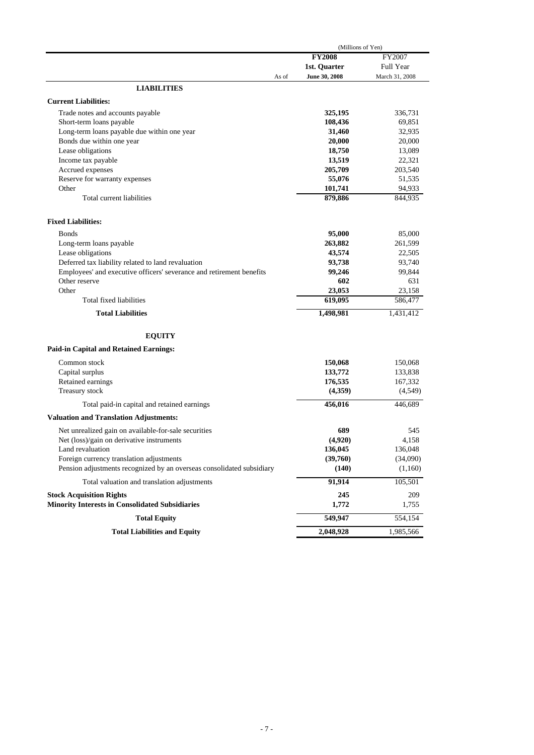|                                                                       | (Millions of Yen) |                |  |
|-----------------------------------------------------------------------|-------------------|----------------|--|
|                                                                       | <b>FY2008</b>     | FY2007         |  |
|                                                                       | 1st. Quarter      | Full Year      |  |
| As of                                                                 | June 30, 2008     | March 31, 2008 |  |
| <b>LIABILITIES</b>                                                    |                   |                |  |
| <b>Current Liabilities:</b>                                           |                   |                |  |
| Trade notes and accounts payable                                      | 325,195           | 336,731        |  |
| Short-term loans payable                                              | 108,436           | 69,851         |  |
| Long-term loans payable due within one year                           | 31,460            | 32,935         |  |
| Bonds due within one year                                             | 20,000            | 20,000         |  |
| Lease obligations                                                     | 18,750            | 13,089         |  |
| Income tax payable                                                    | 13,519            | 22,321         |  |
| Accrued expenses                                                      | 205,709           | 203,540        |  |
| Reserve for warranty expenses                                         | 55,076            | 51,535         |  |
| Other                                                                 | 101,741           | 94,933         |  |
| Total current liabilities                                             | 879,886           | 844,935        |  |
| <b>Fixed Liabilities:</b>                                             |                   |                |  |
| <b>B</b> onds                                                         | 95,000            | 85,000         |  |
| Long-term loans payable                                               | 263,882           | 261,599        |  |
| Lease obligations                                                     | 43,574            | 22,505         |  |
| Deferred tax liability related to land revaluation                    | 93,738            | 93,740         |  |
| Employees' and executive officers' severance and retirement benefits  | 99,246            | 99,844         |  |
| Other reserve                                                         | 602               | 631            |  |
| Other                                                                 | 23,053            | 23,158         |  |
| Total fixed liabilities                                               | 619,095           | 586,477        |  |
| <b>Total Liabilities</b>                                              | 1,498,981         | 1,431,412      |  |
|                                                                       |                   |                |  |
| <b>EQUITY</b><br><b>Paid-in Capital and Retained Earnings:</b>        |                   |                |  |
|                                                                       |                   |                |  |
| Common stock                                                          | 150,068           | 150,068        |  |
| Capital surplus                                                       | 133,772           | 133,838        |  |
| Retained earnings                                                     | 176,535           | 167,332        |  |
| Treasury stock                                                        | (4,359)           | (4,549)        |  |
| Total paid-in capital and retained earnings                           | 456,016           | 446,689        |  |
| <b>Valuation and Translation Adjustments:</b>                         |                   |                |  |
| Net unrealized gain on available-for-sale securities                  | 689               | 545            |  |
| Net (loss)/gain on derivative instruments                             | (4,920)           | 4,158          |  |
| Land revaluation                                                      | 136,045           | 136,048        |  |
| Foreign currency translation adjustments                              | (39,760)          | (34,090)       |  |
| Pension adjustments recognized by an overseas consolidated subsidiary | (140)             | (1,160)        |  |
| Total valuation and translation adjustments                           | 91,914            | 105,501        |  |
| <b>Stock Acquisition Rights</b>                                       | 245               | 209            |  |
| <b>Minority Interests in Consolidated Subsidiaries</b>                | 1,772             | 1,755          |  |
| <b>Total Equity</b>                                                   | 549,947           | 554,154        |  |
| <b>Total Liabilities and Equity</b>                                   | 2,048,928         | 1,985,566      |  |
|                                                                       |                   |                |  |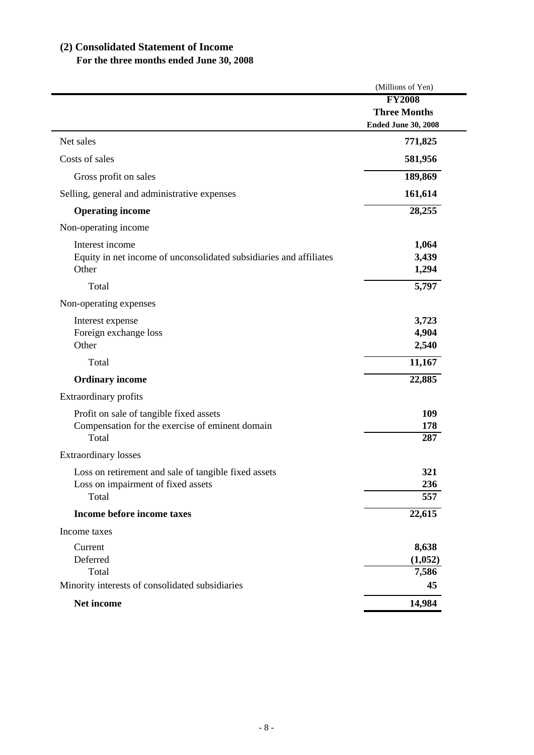# **(2) Consolidated Statement of Income**

# **For the three months ended June 30, 2008**

|                                                                    | (Millions of Yen)          |
|--------------------------------------------------------------------|----------------------------|
|                                                                    | <b>FY2008</b>              |
|                                                                    | <b>Three Months</b>        |
|                                                                    | <b>Ended June 30, 2008</b> |
| Net sales                                                          | 771,825                    |
| Costs of sales                                                     | 581,956                    |
| Gross profit on sales                                              | 189,869                    |
| Selling, general and administrative expenses                       | 161,614                    |
| <b>Operating income</b>                                            | 28,255                     |
| Non-operating income                                               |                            |
| Interest income                                                    | 1,064                      |
| Equity in net income of unconsolidated subsidiaries and affiliates | 3,439                      |
| Other                                                              | 1,294                      |
| Total                                                              | 5,797                      |
| Non-operating expenses                                             |                            |
| Interest expense                                                   | 3,723                      |
| Foreign exchange loss                                              | 4,904                      |
| Other                                                              | 2,540                      |
| Total                                                              | 11,167                     |
| <b>Ordinary income</b>                                             | 22,885                     |
| Extraordinary profits                                              |                            |
| Profit on sale of tangible fixed assets                            | 109                        |
| Compensation for the exercise of eminent domain                    | 178                        |
| Total                                                              | 287                        |
| <b>Extraordinary losses</b>                                        |                            |
| Loss on retirement and sale of tangible fixed assets               | 321                        |
| Loss on impairment of fixed assets                                 | 236                        |
| Total                                                              | 557                        |
| Income before income taxes                                         | 22,615                     |
| Income taxes                                                       |                            |
| Current                                                            | 8,638                      |
| Deferred                                                           | (1,052)                    |
| Total                                                              | 7,586                      |
| Minority interests of consolidated subsidiaries                    | 45                         |
| Net income                                                         | 14,984                     |
|                                                                    |                            |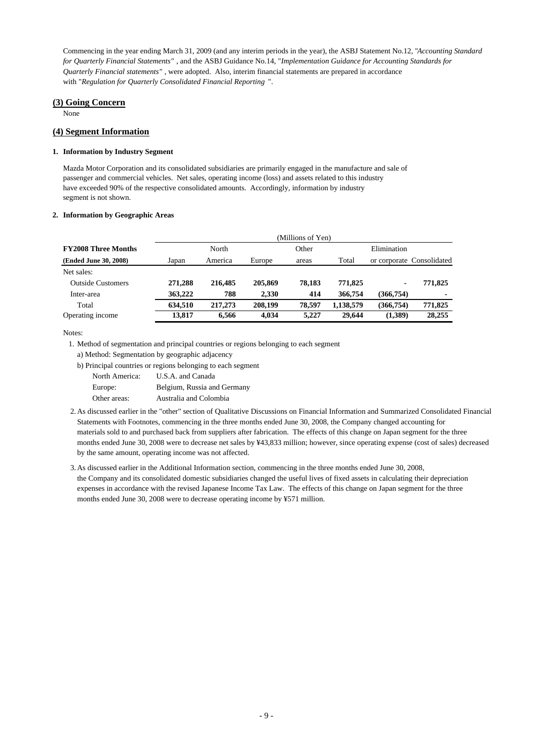Commencing in the year ending March 31, 2009 (and any interim periods in the year), the ASBJ Statement No.12, "*Accounting Standard for Quarterly Financial Statements"* , and the ASBJ Guidance No.14, "*Implementation Guidance for Accounting Standards for Quarterly Financial statements"* , were adopted. Also, interim financial statements are prepared in accordance with "*Regulation for Quarterly Consolidated Financial Reporting* ".

#### **(3) Going Concern**

None

## **(4) Segment Information**

#### **1. Information by Industry Segment**

Mazda Motor Corporation and its consolidated subsidiaries are primarily engaged in the manufacture and sale of passenger and commercial vehicles. Net sales, operating income (loss) and assets related to this industry have exceeded 90% of the respective consolidated amounts. Accordingly, information by industry segment is not shown.

#### **2. Information by Geographic Areas**

|                            |         |         |         | (Millions of Yen) |           |             |                           |
|----------------------------|---------|---------|---------|-------------------|-----------|-------------|---------------------------|
| <b>FY2008 Three Months</b> |         | North   |         | Other             |           | Elimination |                           |
| (Ended June 30, 2008)      | Japan   | America | Europe  | areas             | Total     |             | or corporate Consolidated |
| Net sales:                 |         |         |         |                   |           |             |                           |
| <b>Outside Customers</b>   | 271.288 | 216,485 | 205,869 | 78.183            | 771.825   | ۰           | 771,825                   |
| Inter-area                 | 363,222 | 788     | 2.330   | 414               | 366,754   | (366, 754)  | ۰                         |
| Total                      | 634.510 | 217,273 | 208,199 | 78.597            | 1,138,579 | (366, 754)  | 771,825                   |
| Operating income           | 13.817  | 6.566   | 4.034   | 5,227             | 29,644    | (1,389)     | 28,255                    |

Notes:

1. Method of segmentation and principal countries or regions belonging to each segment

- a) Method: Segmentation by geographic adjacency
- b) Principal countries or regions belonging to each segment

| North America: | U.S.A. and Canada           |
|----------------|-----------------------------|
| Europe:        | Belgium, Russia and Germany |
| Other areas:   | Australia and Colombia      |

- 2.As discussed earlier in the "other" section of Qualitative Discussions on Financial Information and Summarized Consolidated Financial Statements with Footnotes, commencing in the three months ended June 30, 2008, the Company changed accounting for materials sold to and purchased back from suppliers after fabrication. The effects of this change on Japan segment for the three months ended June 30, 2008 were to decrease net sales by ¥43,833 million; however, since operating expense (cost of sales) decreased by the same amount, operating income was not affected.
- 3.As discussed earlier in the Additional Information section, commencing in the three months ended June 30, 2008, the Company and its consolidated domestic subsidiaries changed the useful lives of fixed assets in calculating their depreciation expenses in accordance with the revised Japanese Income Tax Law. The effects of this change on Japan segment for the three months ended June 30, 2008 were to decrease operating income by ¥571 million.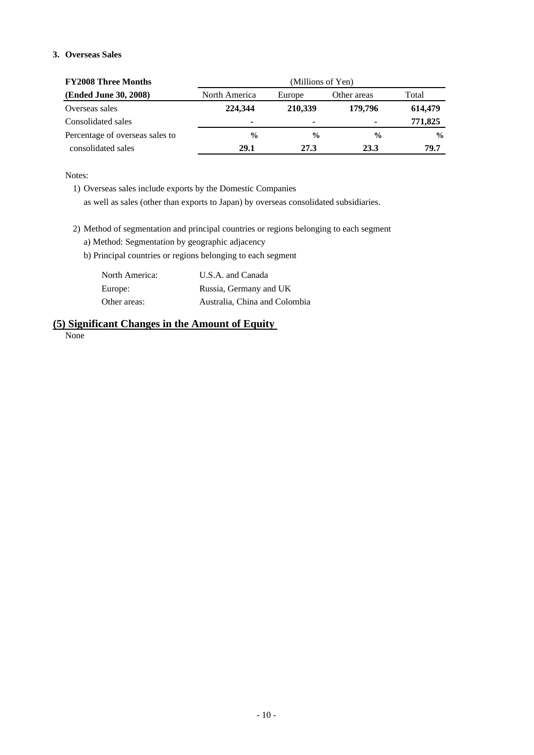## **3. Overseas Sales**

| <b>FY2008 Three Months</b>      | (Millions of Yen) |               |               |               |  |  |  |
|---------------------------------|-------------------|---------------|---------------|---------------|--|--|--|
| (Ended June 30, 2008)           | North America     | Europe        | Other areas   | Total         |  |  |  |
| Overseas sales                  | 224,344           | 210,339       | 179,796       | 614,479       |  |  |  |
| Consolidated sales              |                   | ۰             |               | 771,825       |  |  |  |
| Percentage of overseas sales to | $\frac{0}{0}$     | $\frac{6}{9}$ | $\frac{0}{0}$ | $\frac{0}{0}$ |  |  |  |
| consolidated sales              | 29.1              | 27.3          | 23.3          | 79.7          |  |  |  |

Notes:

1) Overseas sales include exports by the Domestic Companies as well as sales (other than exports to Japan) by overseas consolidated subsidiaries.

2) Method of segmentation and principal countries or regions belonging to each segment

a) Method: Segmentation by geographic adjacency

b) Principal countries or regions belonging to each segment

| North America: | U.S.A. and Canada             |
|----------------|-------------------------------|
| Europe:        | Russia, Germany and UK        |
| Other areas:   | Australia, China and Colombia |

# **(5) Significant Changes in the Amount of Equity**

None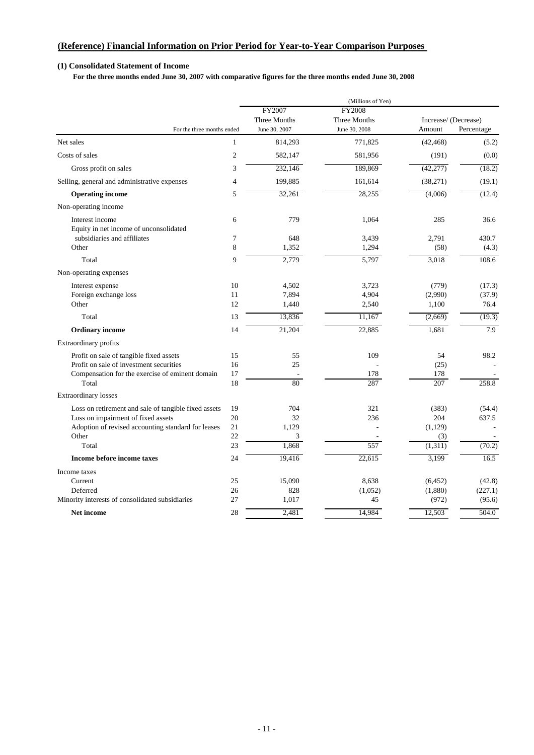## **(Reference) Financial Information on Prior Period for Year-to-Year Comparison Purposes**

## **(1) Consolidated Statement of Income**

 **For the three months ended June 30, 2007 with comparative figures for the three months ended June 30, 2008** 

|                                                           |                |                                         | (Millions of Yen)                              |                                |            |
|-----------------------------------------------------------|----------------|-----------------------------------------|------------------------------------------------|--------------------------------|------------|
| For the three months ended                                |                | FY2007<br>Three Months<br>June 30, 2007 | <b>FY2008</b><br>Three Months<br>June 30, 2008 | Increase/ (Decrease)<br>Amount | Percentage |
| Net sales                                                 | $\mathbf{1}$   | 814,293                                 | 771,825                                        | (42, 468)                      | (5.2)      |
| Costs of sales                                            | $\overline{2}$ | 582,147                                 | 581,956                                        | (191)                          | (0.0)      |
| Gross profit on sales                                     | 3              | 232,146                                 | 189,869                                        | (42, 277)                      | (18.2)     |
|                                                           |                |                                         |                                                |                                |            |
| Selling, general and administrative expenses              | $\overline{4}$ | 199,885                                 | 161,614                                        | (38,271)                       | (19.1)     |
| <b>Operating income</b>                                   | 5              | 32,261                                  | 28,255                                         | (4,006)                        | (12.4)     |
| Non-operating income                                      |                |                                         |                                                |                                |            |
| Interest income<br>Equity in net income of unconsolidated | 6              | 779                                     | 1,064                                          | 285                            | 36.6       |
| subsidiaries and affiliates                               | $\tau$         | 648                                     | 3,439                                          | 2,791                          | 430.7      |
| Other                                                     | 8              | 1,352                                   | 1,294                                          | (58)                           | (4.3)      |
| Total                                                     | 9              | 2,779                                   | 5,797                                          | 3,018                          | 108.6      |
| Non-operating expenses                                    |                |                                         |                                                |                                |            |
| Interest expense                                          | 10             | 4,502                                   | 3,723                                          | (779)                          | (17.3)     |
| Foreign exchange loss                                     | 11             | 7,894                                   | 4,904                                          | (2,990)                        | (37.9)     |
| Other                                                     | 12             | 1,440                                   | 2,540                                          | 1,100                          | 76.4       |
| Total                                                     | 13             | 13,836                                  | 11,167                                         | (2,669)                        | (19.3)     |
| <b>Ordinary</b> income                                    | 14             | 21,204                                  | 22,885                                         | 1,681                          | 7.9        |
| Extraordinary profits                                     |                |                                         |                                                |                                |            |
| Profit on sale of tangible fixed assets                   | 15             | 55                                      | 109                                            | 54                             | 98.2       |
| Profit on sale of investment securities                   | 16             | 25                                      |                                                | (25)                           |            |
| Compensation for the exercise of eminent domain           | 17             |                                         | 178                                            | 178                            |            |
| Total                                                     | 18             | 80                                      | 287                                            | $\overline{207}$               | 258.8      |
| <b>Extraordinary losses</b>                               |                |                                         |                                                |                                |            |
| Loss on retirement and sale of tangible fixed assets      | 19             | 704                                     | 321                                            | (383)                          | (54.4)     |
| Loss on impairment of fixed assets                        | 20             | 32                                      | 236                                            | 204                            | 637.5      |
| Adoption of revised accounting standard for leases        | 21             | 1,129                                   |                                                | (1, 129)                       |            |
| Other                                                     | 22             | 3                                       |                                                | (3)                            |            |
| Total                                                     | 23             | 1,868                                   | 557                                            | (1,311)                        | (70.2)     |
| Income before income taxes                                | 24             | 19,416                                  | 22,615                                         | 3,199                          | 16.5       |
| Income taxes                                              |                |                                         |                                                |                                |            |
| Current                                                   | 25             | 15,090                                  | 8,638                                          | (6, 452)                       | (42.8)     |
| Deferred                                                  | 26             | 828                                     | (1,052)                                        | (1,880)                        | (227.1)    |
| Minority interests of consolidated subsidiaries           | 27             | 1,017                                   | 45                                             | (972)                          | (95.6)     |
| <b>Net income</b>                                         | 28             | 2,481                                   | 14,984                                         | 12,503                         | 504.0      |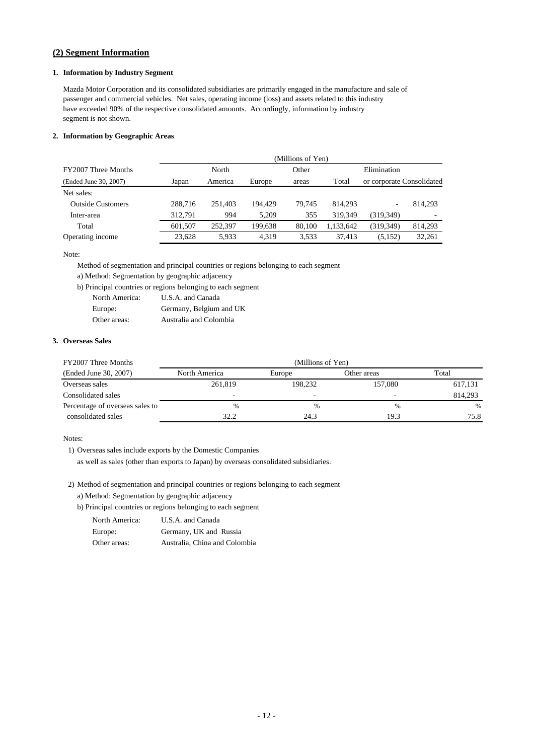## **(2) Segment Information**

#### **1. Information by Industry Segment**

Mazda Motor Corporation and its consolidated subsidiaries are primarily engaged in the manufacture and sale of passenger and commercial vehicles. Net sales, operating income (loss) and assets related to this industry have exceeded 90% of the respective consolidated amounts. Accordingly, information by industry segment is not shown.

#### **2. Information by Geographic Areas**

|                          | (Millions of Yen) |         |         |                |           |                           |         |
|--------------------------|-------------------|---------|---------|----------------|-----------|---------------------------|---------|
| FY2007 Three Months      |                   | North   |         | Other          |           | Elimination               |         |
| (Ended June 30, 2007)    | Japan             | America | Europe  | Total<br>areas |           | or corporate Consolidated |         |
| Net sales:               |                   |         |         |                |           |                           |         |
| <b>Outside Customers</b> | 288,716           | 251.403 | 194.429 | 79.745         | 814.293   | ۰                         | 814.293 |
| Inter-area               | 312.791           | 994     | 5.209   | 355            | 319.349   | (319, 349)                |         |
| Total                    | 601.507           | 252,397 | 199.638 | 80,100         | 1,133,642 | (319, 349)                | 814,293 |
| Operating income         | 23.628            | 5.933   | 4.319   | 3,533          | 37.413    | (5, 152)                  | 32.261  |

Note:

Method of segmentation and principal countries or regions belonging to each segment

a) Method: Segmentation by geographic adjacency

b) Principal countries or regions belonging to each segment

| North America: | U.S.A. and Canada       |
|----------------|-------------------------|
| Europe:        | Germany, Belgium and UK |
| Other areas:   | Australia and Colombia  |

#### **3. Overseas Sales**

| FY2007 Three Months             | (Millions of Yen)        |                          |             |         |  |  |  |
|---------------------------------|--------------------------|--------------------------|-------------|---------|--|--|--|
| (Ended June 30, 2007)           | North America            | Europe                   | Other areas | Total   |  |  |  |
| Overseas sales                  | 261,819                  | 198.232                  | 157,080     | 617,131 |  |  |  |
| Consolidated sales              | $\overline{\phantom{0}}$ | $\overline{\phantom{0}}$ |             | 814.293 |  |  |  |
| Percentage of overseas sales to | %                        | $\%$                     | $\%$        | $\%$    |  |  |  |
| consolidated sales              | 32.2                     | 24.3                     | 19.3        | 75.8    |  |  |  |

Notes:

1) Overseas sales include exports by the Domestic Companies

as well as sales (other than exports to Japan) by overseas consolidated subsidiaries.

2) Method of segmentation and principal countries or regions belonging to each segment

a) Method: Segmentation by geographic adjacency

b) Principal countries or regions belonging to each segment

| North America: | U.S.A. and Canada             |
|----------------|-------------------------------|
| Europe:        | Germany, UK and Russia        |
| Other areas:   | Australia, China and Colombia |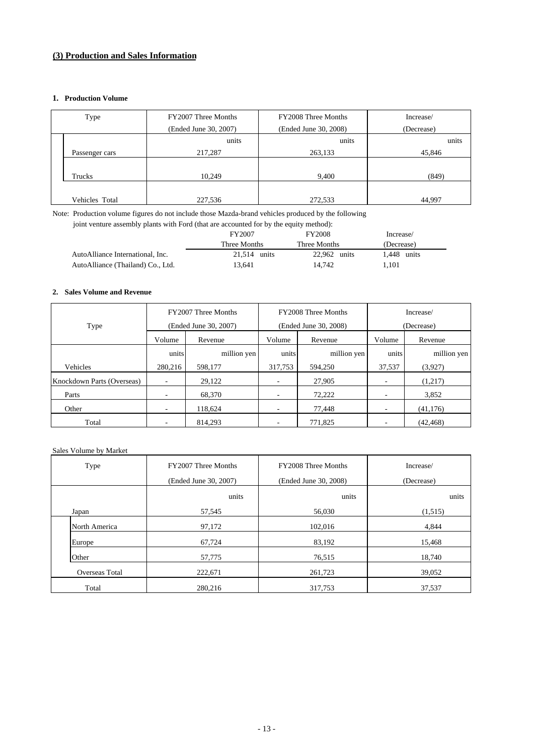## **(3) Production and Sales Information**

#### **1. Production Volume**

| Type |                | FY2007 Three Months   | FY2008 Three Months   | Increase/  |  |  |
|------|----------------|-----------------------|-----------------------|------------|--|--|
|      |                | (Ended June 30, 2007) | (Ended June 30, 2008) | (Decrease) |  |  |
|      |                | units                 | units                 | units      |  |  |
|      | Passenger cars | 217,287               | 263,133               | 45,846     |  |  |
|      |                |                       |                       |            |  |  |
|      | Trucks         | 10,249                | 9,400                 | (849)      |  |  |
|      |                |                       |                       |            |  |  |
|      | Vehicles Total | 227,536               | 272,533               | 44,997     |  |  |

Note: Production volume figures do not include those Mazda-brand vehicles produced by the following

joint venture assembly plants with Ford (that are accounted for by the equity method):

|                                   | FY2007         | <b>FY2008</b> | Increase/     |  |
|-----------------------------------|----------------|---------------|---------------|--|
|                                   | Three Months   | Three Months  | (Decrease)    |  |
| AutoAlliance International, Inc.  | $21.514$ units | 22,962 units  | $1.448$ units |  |
| AutoAlliance (Thailand) Co., Ltd. | 13.641         | 14.742        | 101.          |  |

#### **2. Sales Volume and Revenue**

|                            |                      | FY2007 Three Months   |         | FY2008 Three Months   | Increase/<br>(Decrease)  |             |  |
|----------------------------|----------------------|-----------------------|---------|-----------------------|--------------------------|-------------|--|
| Type                       |                      | (Ended June 30, 2007) |         | (Ended June 30, 2008) |                          |             |  |
|                            | Volume<br>Revenue    |                       | Volume  | Revenue               | Volume                   | Revenue     |  |
|                            | million yen<br>units |                       | units   | million yen           | units                    | million yen |  |
| Vehicles                   | 280,216              | 598,177               | 317,753 | 594.250               | 37,537                   | (3,927)     |  |
| Knockdown Parts (Overseas) |                      | 29,122                |         | 27,905                |                          | (1,217)     |  |
| Parts                      | ٠                    | 68,370                | ۰       | 72,222                | $\overline{\phantom{a}}$ | 3,852       |  |
| Other                      | ٠                    | 118.624               | ۰       | 77.448                | $\overline{\phantom{a}}$ | (41, 176)   |  |
| Total                      |                      | 814.293               |         | 771.825               |                          | (42, 468)   |  |

## Sales Volume by Market

| Type           | FY2007 Three Months   | FY2008 Three Months   | Increase/  |  |
|----------------|-----------------------|-----------------------|------------|--|
|                | (Ended June 30, 2007) | (Ended June 30, 2008) | (Decrease) |  |
| units          |                       | units                 | units      |  |
| Japan          | 57,545                | 56,030                | (1,515)    |  |
| North America  | 97,172                |                       | 4,844      |  |
| Europe         | 67,724                | 83,192                | 15,468     |  |
| Other          | 57,775                | 76,515                | 18,740     |  |
| Overseas Total | 222,671               | 261,723               | 39,052     |  |
| Total          | 280,216               | 317,753               | 37,537     |  |